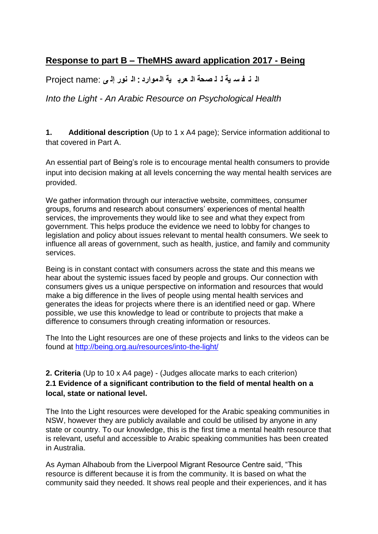# **Response to part B – TheMHS award application 2017 - Being**

**ال ن ف س ية ل ل صحة ال عرب ية ال موارد** : **ال نور إل ى** :name Project

*Into the Light - An Arabic Resource on Psychological Health*

**1. Additional description** (Up to 1 x A4 page); Service information additional to that covered in Part A.

An essential part of Being's role is to encourage mental health consumers to provide input into decision making at all levels concerning the way mental health services are provided.

We gather information through our interactive website, committees, consumer groups, forums and research about consumers' experiences of mental health services, the improvements they would like to see and what they expect from government. This helps produce the evidence we need to lobby for changes to legislation and policy about issues relevant to mental health consumers. We seek to influence all areas of government, such as health, justice, and family and community services.

Being is in constant contact with consumers across the state and this means we hear about the systemic issues faced by people and groups. Our connection with consumers gives us a unique perspective on information and resources that would make a big difference in the lives of people using mental health services and generates the ideas for projects where there is an identified need or gap. Where possible, we use this knowledge to lead or contribute to projects that make a difference to consumers through creating information or resources.

The Into the Light resources are one of these projects and links to the videos can be found at<http://being.org.au/resources/into-the-light/>

### **2. Criteria** (Up to 10 x A4 page) - (Judges allocate marks to each criterion) **2.1 Evidence of a significant contribution to the field of mental health on a local, state or national level.**

The Into the Light resources were developed for the Arabic speaking communities in NSW, however they are publicly available and could be utilised by anyone in any state or country. To our knowledge, this is the first time a mental health resource that is relevant, useful and accessible to Arabic speaking communities has been created in Australia.

As Ayman Alhaboub from the Liverpool Migrant Resource Centre said, "This resource is different because it is from the community. It is based on what the community said they needed. It shows real people and their experiences, and it has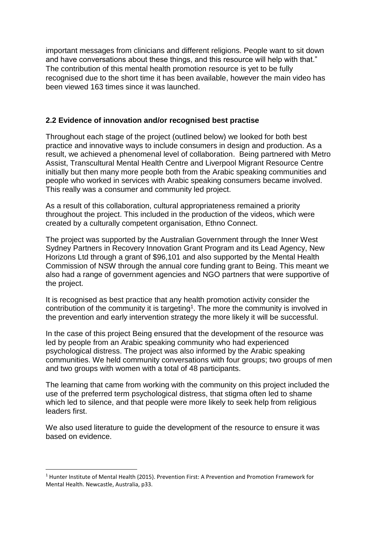important messages from clinicians and different religions. People want to sit down and have conversations about these things, and this resource will help with that." The contribution of this mental health promotion resource is yet to be fully recognised due to the short time it has been available, however the main video has been viewed 163 times since it was launched.

#### **2.2 Evidence of innovation and/or recognised best practise**

Throughout each stage of the project (outlined below) we looked for both best practice and innovative ways to include consumers in design and production. As a result, we achieved a phenomenal level of collaboration. Being partnered with Metro Assist, Transcultural Mental Health Centre and Liverpool Migrant Resource Centre initially but then many more people both from the Arabic speaking communities and people who worked in services with Arabic speaking consumers became involved. This really was a consumer and community led project.

As a result of this collaboration, cultural appropriateness remained a priority throughout the project. This included in the production of the videos, which were created by a culturally competent organisation, Ethno Connect.

The project was supported by the Australian Government through the Inner West Sydney Partners in Recovery Innovation Grant Program and its Lead Agency, New Horizons Ltd through a grant of \$96,101 and also supported by the Mental Health Commission of NSW through the annual core funding grant to Being. This meant we also had a range of government agencies and NGO partners that were supportive of the project.

It is recognised as best practice that any health promotion activity consider the contribution of the community it is targeting<sup>1</sup>. The more the community is involved in the prevention and early intervention strategy the more likely it will be successful.

In the case of this project Being ensured that the development of the resource was led by people from an Arabic speaking community who had experienced psychological distress. The project was also informed by the Arabic speaking communities. We held community conversations with four groups; two groups of men and two groups with women with a total of 48 participants.

The learning that came from working with the community on this project included the use of the preferred term psychological distress, that stigma often led to shame which led to silence, and that people were more likely to seek help from religious leaders first.

We also used literature to guide the development of the resource to ensure it was based on evidence.

**.** 

<sup>1</sup> Hunter Institute of Mental Health (2015). Prevention First: A Prevention and Promotion Framework for Mental Health. Newcastle, Australia, p33.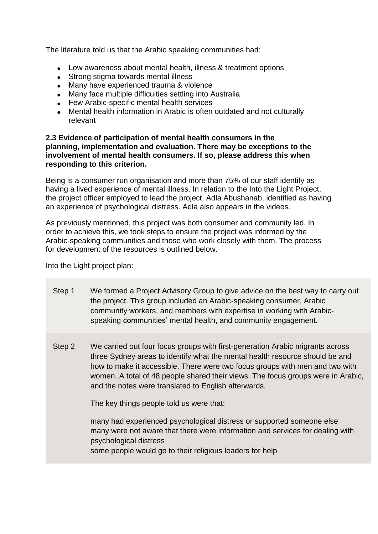The literature told us that the Arabic speaking communities had:

- Low awareness about mental health, illness & treatment options
- Strong stigma towards mental illness
- Many have experienced trauma & violence
- Many face multiple difficulties settling into Australia
- Few Arabic-specific mental health services
- Mental health information in Arabic is often outdated and not culturally relevant

#### **2.3 Evidence of participation of mental health consumers in the planning, implementation and evaluation. There may be exceptions to the involvement of mental health consumers. If so, please address this when responding to this criterion.**

Being is a consumer run organisation and more than 75% of our staff identify as having a lived experience of mental illness. In relation to the Into the Light Project, the project officer employed to lead the project, Adla Abushanab, identified as having an experience of psychological distress. Adla also appears in the videos.

As previously mentioned, this project was both consumer and community led. In order to achieve this, we took steps to ensure the project was informed by the Arabic-speaking communities and those who work closely with them. The process for development of the resources is outlined below.

Into the Light project plan:

- Step 1 We formed a Project Advisory Group to give advice on the best way to carry out the project. This group included an Arabic-speaking consumer, Arabic community workers, and members with expertise in working with Arabicspeaking communities' mental health, and community engagement.
- Step 2 We carried out four focus groups with first-generation Arabic migrants across three Sydney areas to identify what the mental health resource should be and how to make it accessible. There were two focus groups with men and two with women. A total of 48 people shared their views. The focus groups were in Arabic, and the notes were translated to English afterwards.

The key things people told us were that:

 many had experienced psychological distress or supported someone else many were not aware that there were information and services for dealing with psychological distress some people would go to their religious leaders for help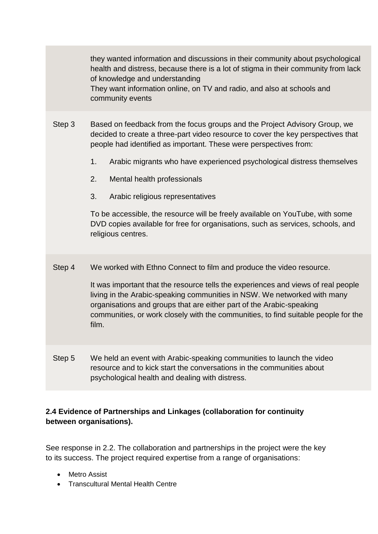|        | they wanted information and discussions in their community about psychological<br>health and distress, because there is a lot of stigma in their community from lack<br>of knowledge and understanding<br>They want information online, on TV and radio, and also at schools and<br>community events                                                                                                                                                                                                                                                                                                     |
|--------|----------------------------------------------------------------------------------------------------------------------------------------------------------------------------------------------------------------------------------------------------------------------------------------------------------------------------------------------------------------------------------------------------------------------------------------------------------------------------------------------------------------------------------------------------------------------------------------------------------|
| Step 3 | Based on feedback from the focus groups and the Project Advisory Group, we<br>decided to create a three-part video resource to cover the key perspectives that<br>people had identified as important. These were perspectives from:<br>1 <sub>1</sub><br>Arabic migrants who have experienced psychological distress themselves<br>Mental health professionals<br>2.<br>3.<br>Arabic religious representatives<br>To be accessible, the resource will be freely available on YouTube, with some<br>DVD copies available for free for organisations, such as services, schools, and<br>religious centres. |
| Step 4 | We worked with Ethno Connect to film and produce the video resource.<br>It was important that the resource tells the experiences and views of real people<br>living in the Arabic-speaking communities in NSW. We networked with many<br>organisations and groups that are either part of the Arabic-speaking<br>communities, or work closely with the communities, to find suitable people for the<br>film.                                                                                                                                                                                             |
| Step 5 | We held an event with Arabic-speaking communities to launch the video<br>resource and to kick start the conversations in the communities about<br>psychological health and dealing with distress.                                                                                                                                                                                                                                                                                                                                                                                                        |

## **2.4 Evidence of Partnerships and Linkages (collaboration for continuity between organisations).**

See response in 2.2. The collaboration and partnerships in the project were the key to its success. The project required expertise from a range of organisations:

- Metro Assist
- Transcultural Mental Health Centre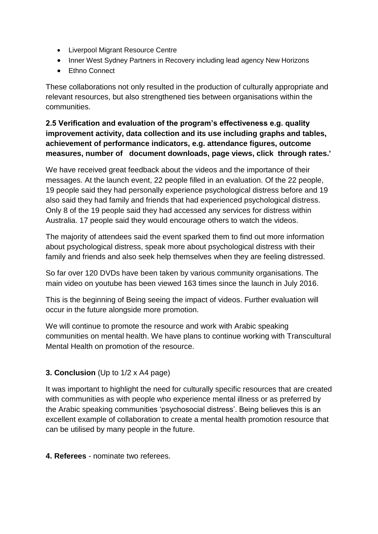- Liverpool Migrant Resource Centre
- Inner West Sydney Partners in Recovery including lead agency New Horizons
- Ethno Connect

These collaborations not only resulted in the production of culturally appropriate and relevant resources, but also strengthened ties between organisations within the communities.

### **2.5 Verification and evaluation of the program's effectiveness e.g. quality improvement activity, data collection and its use including graphs and tables, achievement of performance indicators, e.g. attendance figures, outcome measures, number of document downloads, page views, click through rates.'**

We have received great feedback about the videos and the importance of their messages. At the launch event, 22 people filled in an evaluation. Of the 22 people, 19 people said they had personally experience psychological distress before and 19 also said they had family and friends that had experienced psychological distress. Only 8 of the 19 people said they had accessed any services for distress within Australia. 17 people said they would encourage others to watch the videos.

The majority of attendees said the event sparked them to find out more information about psychological distress, speak more about psychological distress with their family and friends and also seek help themselves when they are feeling distressed.

So far over 120 DVDs have been taken by various community organisations. The main video on youtube has been viewed 163 times since the launch in July 2016.

This is the beginning of Being seeing the impact of videos. Further evaluation will occur in the future alongside more promotion.

We will continue to promote the resource and work with Arabic speaking communities on mental health. We have plans to continue working with Transcultural Mental Health on promotion of the resource.

## **3. Conclusion** (Up to 1/2 x A4 page)

It was important to highlight the need for culturally specific resources that are created with communities as with people who experience mental illness or as preferred by the Arabic speaking communities 'psychosocial distress'. Being believes this is an excellent example of collaboration to create a mental health promotion resource that can be utilised by many people in the future.

**4. Referees** - nominate two referees.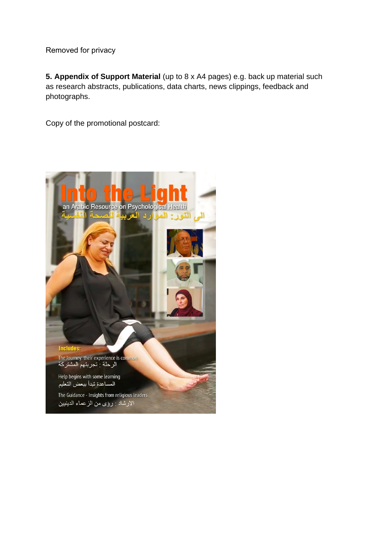Removed for privacy

**5. Appendix of Support Material** (up to 8 x A4 pages) e.g. back up material such a[s research abstracts, publications, dat](mailto:Maria.Cassaniti@health.nsw.gov.au)a charts, news clippings, feedback and photographs.

Copy of the promotional postcard:

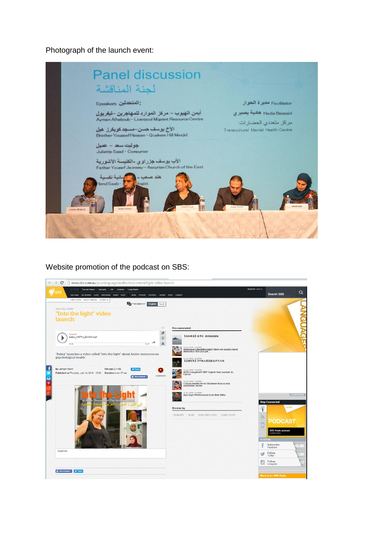Photograph of the launch event:



Website promotion of the podcast on SBS: